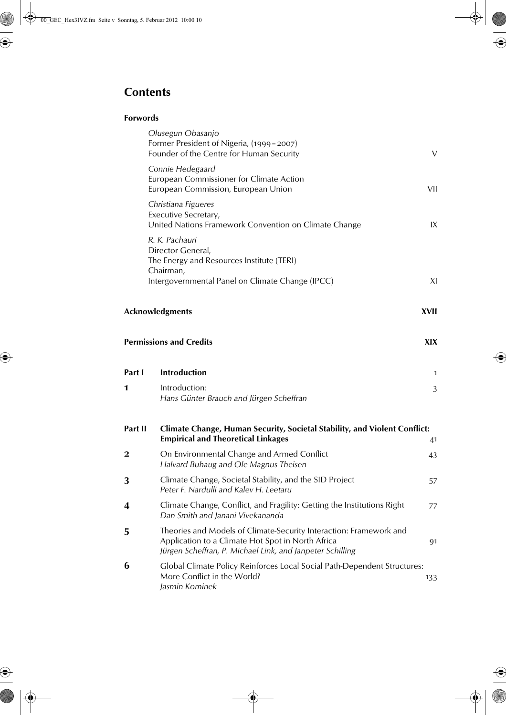# **Contents**

## **Forwords**

|         | Olusegun Obasanjo<br>Former President of Nigeria, (1999-2007)<br>Founder of the Centre for Human Security                                                                            | V    |
|---------|--------------------------------------------------------------------------------------------------------------------------------------------------------------------------------------|------|
|         | Connie Hedegaard<br>European Commissioner for Climate Action<br>European Commission, European Union                                                                                  | VII  |
|         | Christiana Figueres<br>Executive Secretary,<br>United Nations Framework Convention on Climate Change                                                                                 | IX   |
|         | R. K. Pachauri<br>Director General,<br>The Energy and Resources Institute (TERI)                                                                                                     |      |
|         | Chairman,<br>Intergovernmental Panel on Climate Change (IPCC)                                                                                                                        | XI   |
|         | Acknowledgments                                                                                                                                                                      | XVII |
|         | <b>Permissions and Credits</b>                                                                                                                                                       | XIX. |
| Part I  | Introduction                                                                                                                                                                         | 1    |
| 1       | Introduction:<br>Hans Günter Brauch and Jürgen Scheffran                                                                                                                             | 3    |
| Part II | Climate Change, Human Security, Societal Stability, and Violent Conflict:<br><b>Empirical and Theoretical Linkages</b>                                                               | 41   |
| 2       | On Environmental Change and Armed Conflict<br>Halvard Buhaug and Ole Magnus Theisen                                                                                                  | 43   |
| 3       | Climate Change, Societal Stability, and the SID Project<br>Peter F. Nardulli and Kalev H. Leetaru                                                                                    | 57   |
| 4       | Climate Change, Conflict, and Fragility: Getting the Institutions Right<br>Dan Smith and Janani Vivekananda                                                                          | 77   |
| 5       | Theories and Models of Climate-Security Interaction: Framework and<br>Application to a Climate Hot Spot in North Africa<br>Jürgen Scheffran, P. Michael Link, and Janpeter Schilling | 91   |
| 6       | Global Climate Policy Reinforces Local Social Path-Dependent Structures:<br>More Conflict in the World?<br>Jasmin Kominek                                                            | 133  |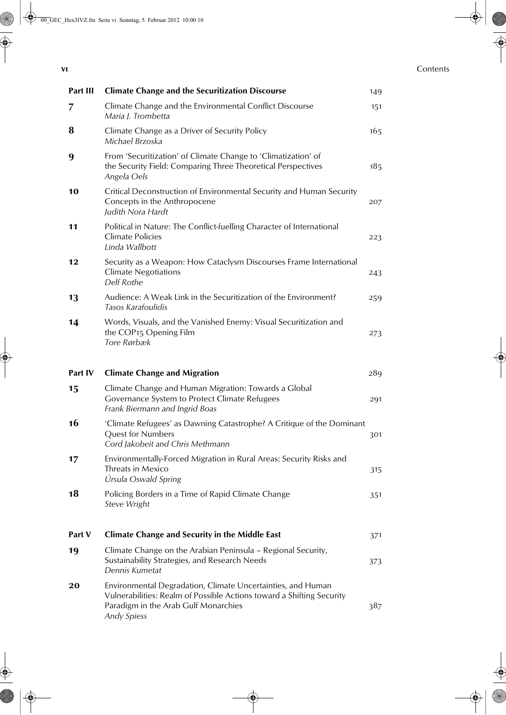#### **vi** Contents

| Part III | <b>Climate Change and the Securitization Discourse</b>                                                                                                                                             | 149 |
|----------|----------------------------------------------------------------------------------------------------------------------------------------------------------------------------------------------------|-----|
| 7        | Climate Change and the Environmental Conflict Discourse<br>Maria J. Trombetta                                                                                                                      | 151 |
| 8        | Climate Change as a Driver of Security Policy<br>Michael Brzoska                                                                                                                                   | 165 |
| 9        | From 'Securitization' of Climate Change to 'Climatization' of<br>the Security Field: Comparing Three Theoretical Perspectives<br>Angela Oels                                                       | 185 |
| 10       | Critical Deconstruction of Environmental Security and Human Security<br>Concepts in the Anthropocene<br>Judith Nora Hardt                                                                          | 207 |
| 11       | Political in Nature: The Conflict-fuelling Character of International<br><b>Climate Policies</b><br>Linda Wallbott                                                                                 | 223 |
| 12       | Security as a Weapon: How Cataclysm Discourses Frame International<br><b>Climate Negotiations</b><br>Delf Rothe                                                                                    | 243 |
| 13       | Audience: A Weak Link in the Securitization of the Environment?<br>Tasos Karafoulidis                                                                                                              | 259 |
| 14       | Words, Visuals, and the Vanished Enemy: Visual Securitization and<br>the COP15 Opening Film<br>Tore Rørbæk                                                                                         | 273 |
| Part IV  | <b>Climate Change and Migration</b>                                                                                                                                                                | 289 |
| 15       | Climate Change and Human Migration: Towards a Global<br>Governance System to Protect Climate Refugees<br>Frank Biermann and Ingrid Boas                                                            | 291 |
| 16       | 'Climate Refugees' as Dawning Catastrophe? A Critique of the Dominant<br>Quest for Numbers<br>Cord Jakobeit and Chris Methmann                                                                     | 301 |
| 17       | Environmentally-Forced Migration in Rural Areas: Security Risks and<br>Threats in Mexico<br>Úrsula Oswald Spring                                                                                   | 315 |
| 18       | Policing Borders in a Time of Rapid Climate Change<br>Steve Wright                                                                                                                                 | 351 |
| Part V   | <b>Climate Change and Security in the Middle East</b>                                                                                                                                              | 371 |
| 19       | Climate Change on the Arabian Peninsula - Regional Security,<br>Sustainability Strategies, and Research Needs<br>Dennis Kumetat                                                                    | 373 |
| 20       | Environmental Degradation, Climate Uncertainties, and Human<br>Vulnerabilities: Realm of Possible Actions toward a Shifting Security<br>Paradigm in the Arab Gulf Monarchies<br><b>Andy Spiess</b> | 387 |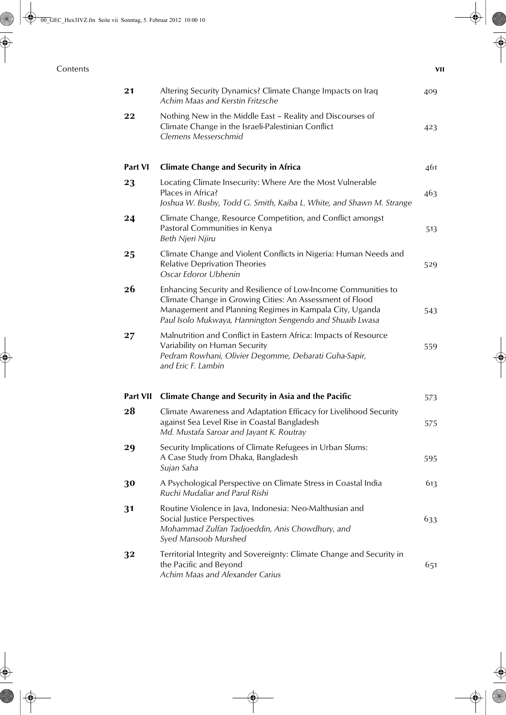### **Contents via**

| 21       | Altering Security Dynamics? Climate Change Impacts on Iraq<br>Achim Maas and Kerstin Fritzsche                                                                                                                                                    | 409 |
|----------|---------------------------------------------------------------------------------------------------------------------------------------------------------------------------------------------------------------------------------------------------|-----|
| 22       | Nothing New in the Middle East - Reality and Discourses of<br>Climate Change in the Israeli-Palestinian Conflict<br>Clemens Messerschmid                                                                                                          | 423 |
| Part VI  | <b>Climate Change and Security in Africa</b>                                                                                                                                                                                                      | 461 |
| 23       | Locating Climate Insecurity: Where Are the Most Vulnerable<br>Places in Africa?<br>Joshua W. Busby, Todd G. Smith, Kaiba L. White, and Shawn M. Strange                                                                                           | 463 |
| 24       | Climate Change, Resource Competition, and Conflict amongst<br>Pastoral Communities in Kenya<br>Beth Njeri Njiru                                                                                                                                   | 513 |
| 25       | Climate Change and Violent Conflicts in Nigeria: Human Needs and<br><b>Relative Deprivation Theories</b><br>Oscar Edoror Ubhenin                                                                                                                  | 529 |
| 26       | Enhancing Security and Resilience of Low-Income Communities to<br>Climate Change in Growing Cities: An Assessment of Flood<br>Management and Planning Regimes in Kampala City, Uganda<br>Paul Isolo Mukwaya, Hannington Sengendo and Shuaib Lwasa | 543 |
| 27       | Malnutrition and Conflict in Eastern Africa: Impacts of Resource<br>Variability on Human Security<br>Pedram Rowhani, Olivier Degomme, Debarati Guha-Sapir,<br>and Eric F. Lambin                                                                  | 559 |
| Part VII | <b>Climate Change and Security in Asia and the Pacific</b>                                                                                                                                                                                        | 573 |
| 28       | Climate Awareness and Adaptation Efficacy for Livelihood Security<br>against Sea Level Rise in Coastal Bangladesh<br>Md. Mustafa Saroar and Jayant K. Routray                                                                                     | 575 |
| 29       | Security Implications of Climate Refugees in Urban Slums:<br>A Case Study from Dhaka, Bangladesh<br>Sujan Saha                                                                                                                                    | 595 |
| 30       | A Psychological Perspective on Climate Stress in Coastal India<br>Ruchi Mudaliar and Parul Rishi                                                                                                                                                  | 613 |
| 31       | Routine Violence in Java, Indonesia: Neo-Malthusian and<br>Social Justice Perspectives<br>Mohammad Zulfan Tadjoeddin, Anis Chowdhury, and<br>Syed Mansoob Murshed                                                                                 | 633 |
| 32       | Territorial Integrity and Sovereignty: Climate Change and Security in<br>the Pacific and Beyond<br>Achim Maas and Alexander Carius                                                                                                                | 651 |